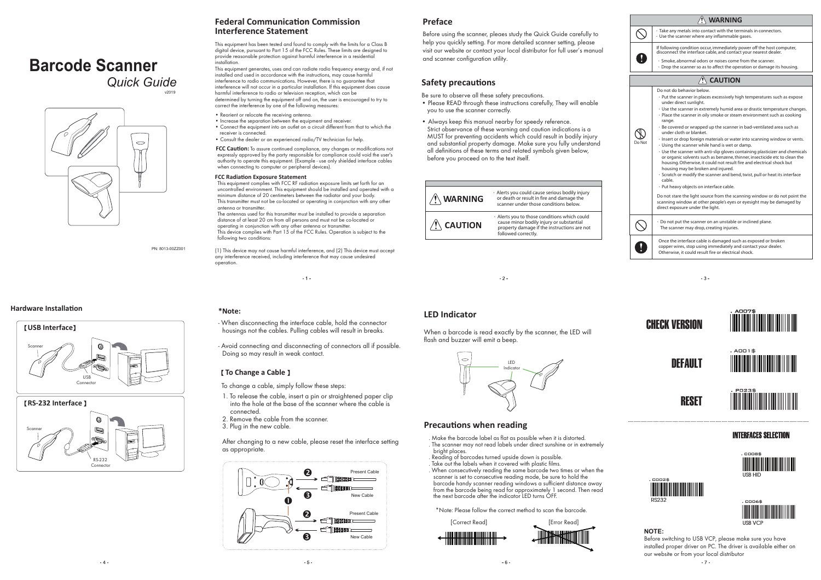# **Barcode Scanner**

*Quick Guide*

v2019



PN: 8013-00ZZ001

#### **Hardware InstallaƟon**





### **Federal CommunicaƟon Commission Interference Statement**

This equipment has been tested and found to comply with the limits for a Class B digital device, pursuant to Part 15 of the FCC Rules. These limits are designed to provide reasonable protection against harmful interference in a residential installation. This equipment generates, uses and can radiate radio frequency energy and, if not

installed and used in accordance with the instructions, may cause harmful interference to radio communications. However, there is no guarantee that interference will not occur in a particular installation. If this equipment does cause harmful interference to radio or television reception, which can be determined by turning the equipment off and on, the user is encouraged to try to correct the interference by one of the following measures:

- Reorient or relocate the receiving antenna.
- Increase the separation between the equipment and receiver. • Connect the equipment into an outlet on a circuit different from that to which the receiver is connected.
- Consult the dealer or an experienced radio/TV technician for help.

**FCC Caution:** To assure continued compliance, any changes or modifications not expressly approved by the party responsible for compliance could void the user's authority to operate this equipment. (Example - use only shielded interface cables when connecting to computer or peripheral devices).

#### **FCC Radiation Exposure Statement**

This equipment complies with FCC RF radiation exposure limits set forth for an uncontrolled environment. This equipment should be installed and operated with a minimum distance of 20 centimeters between the radiator and your body. This transmitter must not be co-located or operating in conjunction with any other antenna or transmitter.

The antennas used for this transmitter must be installed to provide a separation distance of at least 20 cm from all persons and must not be co-located or operating in conjunction with any other antenna or transmitter. This device complies with Part 15 of the FCC Rules. Operation is subject to the following two conditions:

(1) This device may not cause harmful interference, and (2) This device must accept any interference received, including interference that may cause undesired operation.

### **Preface**

Before using the scanner, pleaes study the Quick Guide carefully to help you quickly setting. For more detailed scanner setting, please visit our website or contact your local distributor for full user's manual and scanner configuration utility.

#### **Safety precauƟons**

- Be sure to observe all these safety precautions. • Please READ through these instructions carefully, They will enable you to use the scanner correctly.
- Always keep this manual nearby for speedy reference. Strict observance of these warning and caution indications is a MUST for preventing accidents which could result in bodily injury and substantial property damage. Make sure you fully understand all definitions of these terms and related symbols given below, before you proceed on to the text itself.



 $-2$ 









 $-3-$ 



**RESET** 









. C008\$





#### **NOTE:**

Before switching to USB VCP, please make sure you have installed proper driver on PC. The driver is available either on our website or from your local distributor  $-7 -$ 



- When disconnecting the interface cable, hold the connector housings not the cables. Pulling cables will result in breaks.

 $-1-$ 

- Avoid connecting and disconnecting of connectors all if possible. Doing so may result in weak contact.

#### 【**To Change a Cable** 】

**\*Note:**

- To change a cable, simply follow these steps:
- 1. To release the cable, insert a pin or straightened paper clip into the hole at the base of the scanner where the cable is connected.
- 2. Remove the cable from the scanner.
- 3. Plug in the new cable.

After changing to a new cable, please reset the interface setting as appropriate.



# **LED Indicator**

When a barcode is read exactly by the scanner, the LED will flash and buzzer will emit a beep.



## **Precautions when reading**

. Make the barcode label as flat as possible when it is distorted. . The scanner may not read labels under direct sunshine or in extremely bright places.

. Reading of barcodes turned upside down is possible. Take out the labels when it covered with plastic films. . When consecutively reading the same barcode two times or when the scanner is set to consecutive reading mode, be sure to hold the barcode handy scanner reading windows a sufficient distance away from the barcode being read for approximately 1 second. Then read the next barcode after the indicator LED turns OFF.

\*Note: Please follow the correct method to scan the barcode.